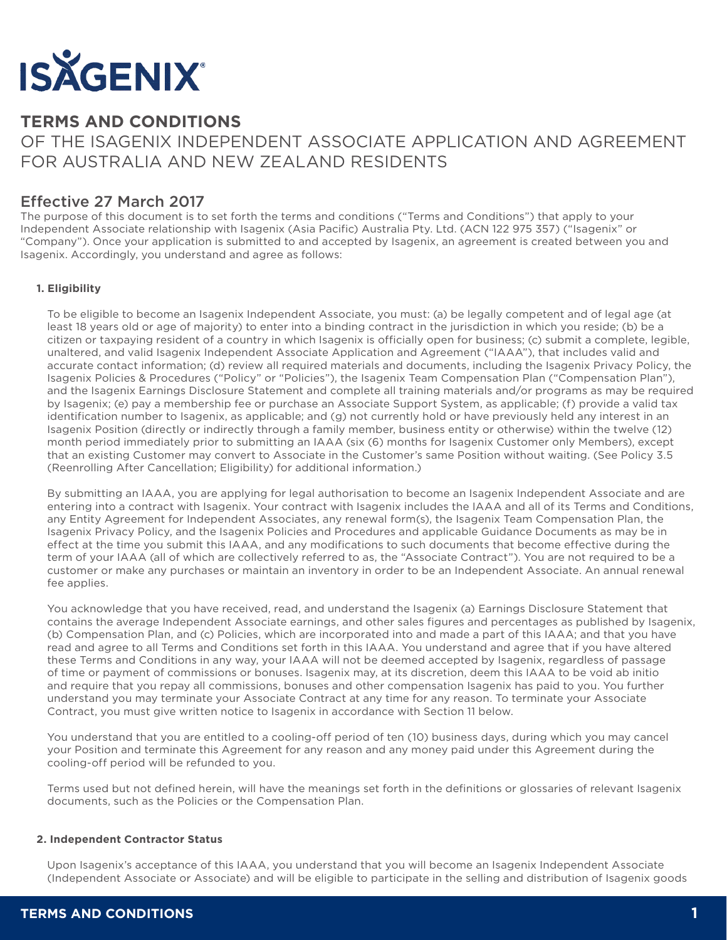

# **TERMS AND CONDITIONS**

OF THE ISAGENIX INDEPENDENT ASSOCIATE APPLICATION AND AGREEMENT FOR AUSTRALIA AND NEW ZEALAND RESIDENTS

# Effective 27 March 2017

The purpose of this document is to set forth the terms and conditions ("Terms and Conditions") that apply to your Independent Associate relationship with Isagenix (Asia Pacific) Australia Pty. Ltd. (ACN 122 975 357) ("Isagenix" or "Company"). Once your application is submitted to and accepted by Isagenix, an agreement is created between you and Isagenix. Accordingly, you understand and agree as follows:

# **1. Eligibility**

To be eligible to become an Isagenix Independent Associate, you must: (a) be legally competent and of legal age (at least 18 years old or age of majority) to enter into a binding contract in the jurisdiction in which you reside; (b) be a citizen or taxpaying resident of a country in which Isagenix is officially open for business; (c) submit a complete, legible, unaltered, and valid Isagenix Independent Associate Application and Agreement ("IAAA"), that includes valid and accurate contact information; (d) review all required materials and documents, including the Isagenix Privacy Policy, the Isagenix Policies & Procedures ("Policy" or "Policies"), the Isagenix Team Compensation Plan ("Compensation Plan"), and the Isagenix Earnings Disclosure Statement and complete all training materials and/or programs as may be required by Isagenix; (e) pay a membership fee or purchase an Associate Support System, as applicable; (f) provide a valid tax identification number to Isagenix, as applicable; and (g) not currently hold or have previously held any interest in an Isagenix Position (directly or indirectly through a family member, business entity or otherwise) within the twelve (12) month period immediately prior to submitting an IAAA (six (6) months for Isagenix Customer only Members), except that an existing Customer may convert to Associate in the Customer's same Position without waiting. (See Policy 3.5 (Reenrolling After Cancellation; Eligibility) for additional information.)

By submitting an IAAA, you are applying for legal authorisation to become an Isagenix Independent Associate and are entering into a contract with Isagenix. Your contract with Isagenix includes the IAAA and all of its Terms and Conditions, any Entity Agreement for Independent Associates, any renewal form(s), the Isagenix Team Compensation Plan, the Isagenix Privacy Policy, and the Isagenix Policies and Procedures and applicable Guidance Documents as may be in effect at the time you submit this IAAA, and any modifications to such documents that become effective during the term of your IAAA (all of which are collectively referred to as, the "Associate Contract"). You are not required to be a customer or make any purchases or maintain an inventory in order to be an Independent Associate. An annual renewal fee applies.

You acknowledge that you have received, read, and understand the Isagenix (a) Earnings Disclosure Statement that contains the average Independent Associate earnings, and other sales figures and percentages as published by Isagenix, (b) Compensation Plan, and (c) Policies, which are incorporated into and made a part of this IAAA; and that you have read and agree to all Terms and Conditions set forth in this IAAA. You understand and agree that if you have altered these Terms and Conditions in any way, your IAAA will not be deemed accepted by Isagenix, regardless of passage of time or payment of commissions or bonuses. Isagenix may, at its discretion, deem this IAAA to be void ab initio and require that you repay all commissions, bonuses and other compensation Isagenix has paid to you. You further understand you may terminate your Associate Contract at any time for any reason. To terminate your Associate Contract, you must give written notice to Isagenix in accordance with Section 11 below.

You understand that you are entitled to a cooling-off period of ten (10) business days, during which you may cancel your Position and terminate this Agreement for any reason and any money paid under this Agreement during the cooling-off period will be refunded to you.

Terms used but not defined herein, will have the meanings set forth in the definitions or glossaries of relevant Isagenix documents, such as the Policies or the Compensation Plan.

## **2. Independent Contractor Status**

Upon Isagenix's acceptance of this IAAA, you understand that you will become an Isagenix Independent Associate (Independent Associate or Associate) and will be eligible to participate in the selling and distribution of Isagenix goods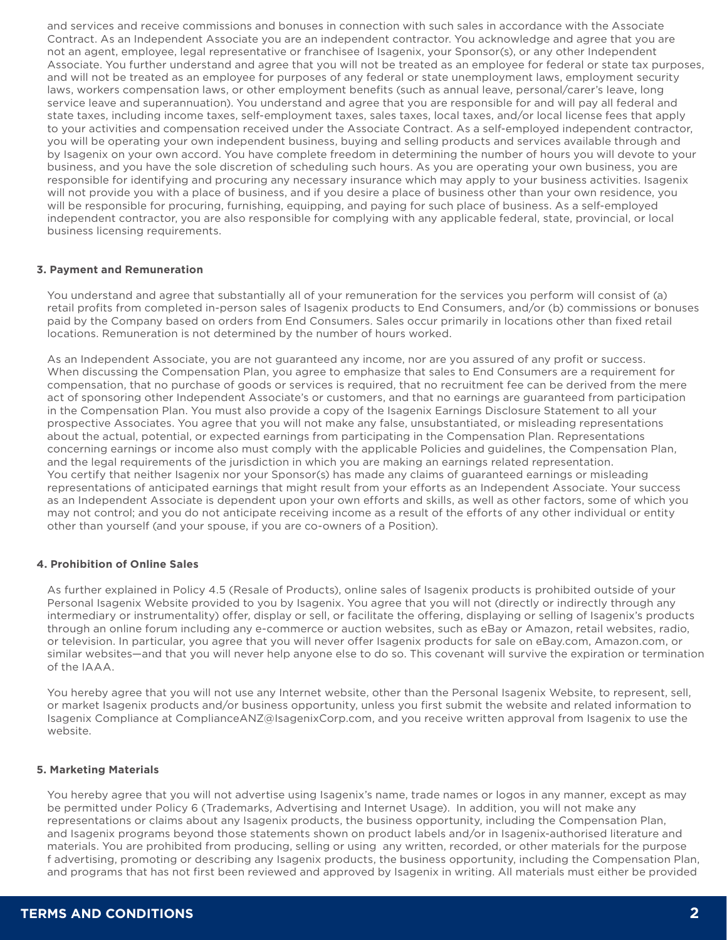and services and receive commissions and bonuses in connection with such sales in accordance with the Associate Contract. As an Independent Associate you are an independent contractor. You acknowledge and agree that you are not an agent, employee, legal representative or franchisee of Isagenix, your Sponsor(s), or any other Independent Associate. You further understand and agree that you will not be treated as an employee for federal or state tax purposes, and will not be treated as an employee for purposes of any federal or state unemployment laws, employment security laws, workers compensation laws, or other employment benefits (such as annual leave, personal/carer's leave, long service leave and superannuation). You understand and agree that you are responsible for and will pay all federal and state taxes, including income taxes, self-employment taxes, sales taxes, local taxes, and/or local license fees that apply to your activities and compensation received under the Associate Contract. As a self-employed independent contractor, you will be operating your own independent business, buying and selling products and services available through and by Isagenix on your own accord. You have complete freedom in determining the number of hours you will devote to your business, and you have the sole discretion of scheduling such hours. As you are operating your own business, you are responsible for identifying and procuring any necessary insurance which may apply to your business activities. Isagenix will not provide you with a place of business, and if you desire a place of business other than your own residence, you will be responsible for procuring, furnishing, equipping, and paying for such place of business. As a self-employed independent contractor, you are also responsible for complying with any applicable federal, state, provincial, or local business licensing requirements.

#### **3. Payment and Remuneration**

You understand and agree that substantially all of your remuneration for the services you perform will consist of (a) retail profits from completed in-person sales of Isagenix products to End Consumers, and/or (b) commissions or bonuses paid by the Company based on orders from End Consumers. Sales occur primarily in locations other than fixed retail locations. Remuneration is not determined by the number of hours worked.

As an Independent Associate, you are not guaranteed any income, nor are you assured of any profit or success. When discussing the Compensation Plan, you agree to emphasize that sales to End Consumers are a requirement for compensation, that no purchase of goods or services is required, that no recruitment fee can be derived from the mere act of sponsoring other Independent Associate's or customers, and that no earnings are guaranteed from participation in the Compensation Plan. You must also provide a copy of the Isagenix Earnings Disclosure Statement to all your prospective Associates. You agree that you will not make any false, unsubstantiated, or misleading representations about the actual, potential, or expected earnings from participating in the Compensation Plan. Representations concerning earnings or income also must comply with the applicable Policies and guidelines, the Compensation Plan, and the legal requirements of the jurisdiction in which you are making an earnings related representation. You certify that neither Isagenix nor your Sponsor(s) has made any claims of guaranteed earnings or misleading representations of anticipated earnings that might result from your efforts as an Independent Associate. Your success as an Independent Associate is dependent upon your own efforts and skills, as well as other factors, some of which you may not control; and you do not anticipate receiving income as a result of the efforts of any other individual or entity other than yourself (and your spouse, if you are co-owners of a Position).

## **4. Prohibition of Online Sales**

As further explained in Policy 4.5 (Resale of Products), online sales of Isagenix products is prohibited outside of your Personal Isagenix Website provided to you by Isagenix. You agree that you will not (directly or indirectly through any intermediary or instrumentality) offer, display or sell, or facilitate the offering, displaying or selling of Isagenix's products through an online forum including any e-commerce or auction websites, such as eBay or Amazon, retail websites, radio, or television. In particular, you agree that you will never offer Isagenix products for sale on eBay.com, Amazon.com, or similar websites—and that you will never help anyone else to do so. This covenant will survive the expiration or termination of the IAAA.

You hereby agree that you will not use any Internet website, other than the Personal Isagenix Website, to represent, sell, or market Isagenix products and/or business opportunity, unless you first submit the website and related information to Isagenix Compliance at ComplianceANZ@IsagenixCorp.com, and you receive written approval from Isagenix to use the website.

## **5. Marketing Materials**

You hereby agree that you will not advertise using Isagenix's name, trade names or logos in any manner, except as may be permitted under Policy 6 (Trademarks, Advertising and Internet Usage). In addition, you will not make any representations or claims about any Isagenix products, the business opportunity, including the Compensation Plan, and Isagenix programs beyond those statements shown on product labels and/or in Isagenix-authorised literature and materials. You are prohibited from producing, selling or using any written, recorded, or other materials for the purpose f advertising, promoting or describing any Isagenix products, the business opportunity, including the Compensation Plan, and programs that has not first been reviewed and approved by Isagenix in writing. All materials must either be provided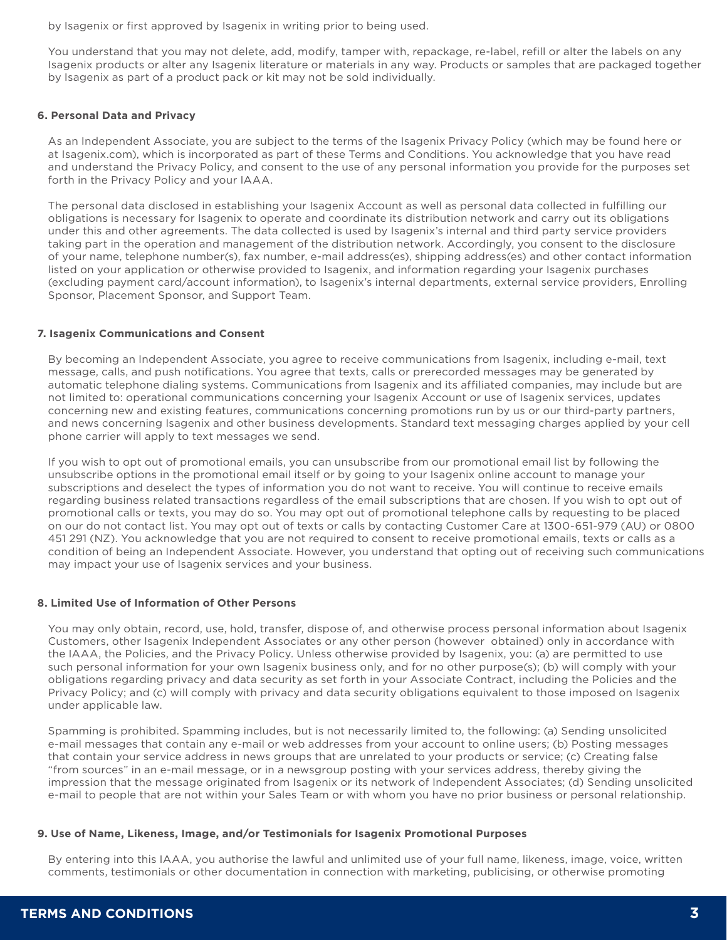by Isagenix or first approved by Isagenix in writing prior to being used.

You understand that you may not delete, add, modify, tamper with, repackage, re-label, refill or alter the labels on any Isagenix products or alter any Isagenix literature or materials in any way. Products or samples that are packaged together by Isagenix as part of a product pack or kit may not be sold individually.

## **6. Personal Data and Privacy**

As an Independent Associate, you are subject to the terms of the Isagenix Privacy Policy (which may be found here or at Isagenix.com), which is incorporated as part of these Terms and Conditions. You acknowledge that you have read and understand the Privacy Policy, and consent to the use of any personal information you provide for the purposes set forth in the Privacy Policy and your IAAA.

The personal data disclosed in establishing your Isagenix Account as well as personal data collected in fulfilling our obligations is necessary for Isagenix to operate and coordinate its distribution network and carry out its obligations under this and other agreements. The data collected is used by Isagenix's internal and third party service providers taking part in the operation and management of the distribution network. Accordingly, you consent to the disclosure of your name, telephone number(s), fax number, e-mail address(es), shipping address(es) and other contact information listed on your application or otherwise provided to Isagenix, and information regarding your Isagenix purchases (excluding payment card/account information), to Isagenix's internal departments, external service providers, Enrolling Sponsor, Placement Sponsor, and Support Team.

## **7. Isagenix Communications and Consent**

By becoming an Independent Associate, you agree to receive communications from Isagenix, including e-mail, text message, calls, and push notifications. You agree that texts, calls or prerecorded messages may be generated by automatic telephone dialing systems. Communications from Isagenix and its affiliated companies, may include but are not limited to: operational communications concerning your Isagenix Account or use of Isagenix services, updates concerning new and existing features, communications concerning promotions run by us or our third-party partners, and news concerning Isagenix and other business developments. Standard text messaging charges applied by your cell phone carrier will apply to text messages we send.

If you wish to opt out of promotional emails, you can unsubscribe from our promotional email list by following the unsubscribe options in the promotional email itself or by going to your Isagenix online account to manage your subscriptions and deselect the types of information you do not want to receive. You will continue to receive emails regarding business related transactions regardless of the email subscriptions that are chosen. If you wish to opt out of promotional calls or texts, you may do so. You may opt out of promotional telephone calls by requesting to be placed on our do not contact list. You may opt out of texts or calls by contacting Customer Care at 1300-651-979 (AU) or 0800 451 291 (NZ). You acknowledge that you are not required to consent to receive promotional emails, texts or calls as a condition of being an Independent Associate. However, you understand that opting out of receiving such communications may impact your use of Isagenix services and your business.

#### **8. Limited Use of Information of Other Persons**

You may only obtain, record, use, hold, transfer, dispose of, and otherwise process personal information about Isagenix Customers, other Isagenix Independent Associates or any other person (however obtained) only in accordance with the IAAA, the Policies, and the Privacy Policy. Unless otherwise provided by Isagenix, you: (a) are permitted to use such personal information for your own Isagenix business only, and for no other purpose(s); (b) will comply with your obligations regarding privacy and data security as set forth in your Associate Contract, including the Policies and the Privacy Policy; and (c) will comply with privacy and data security obligations equivalent to those imposed on Isagenix under applicable law.

Spamming is prohibited. Spamming includes, but is not necessarily limited to, the following: (a) Sending unsolicited e-mail messages that contain any e-mail or web addresses from your account to online users; (b) Posting messages that contain your service address in news groups that are unrelated to your products or service; (c) Creating false "from sources" in an e-mail message, or in a newsgroup posting with your services address, thereby giving the impression that the message originated from Isagenix or its network of Independent Associates; (d) Sending unsolicited e-mail to people that are not within your Sales Team or with whom you have no prior business or personal relationship.

#### **9. Use of Name, Likeness, Image, and/or Testimonials for Isagenix Promotional Purposes**

By entering into this IAAA, you authorise the lawful and unlimited use of your full name, likeness, image, voice, written comments, testimonials or other documentation in connection with marketing, publicising, or otherwise promoting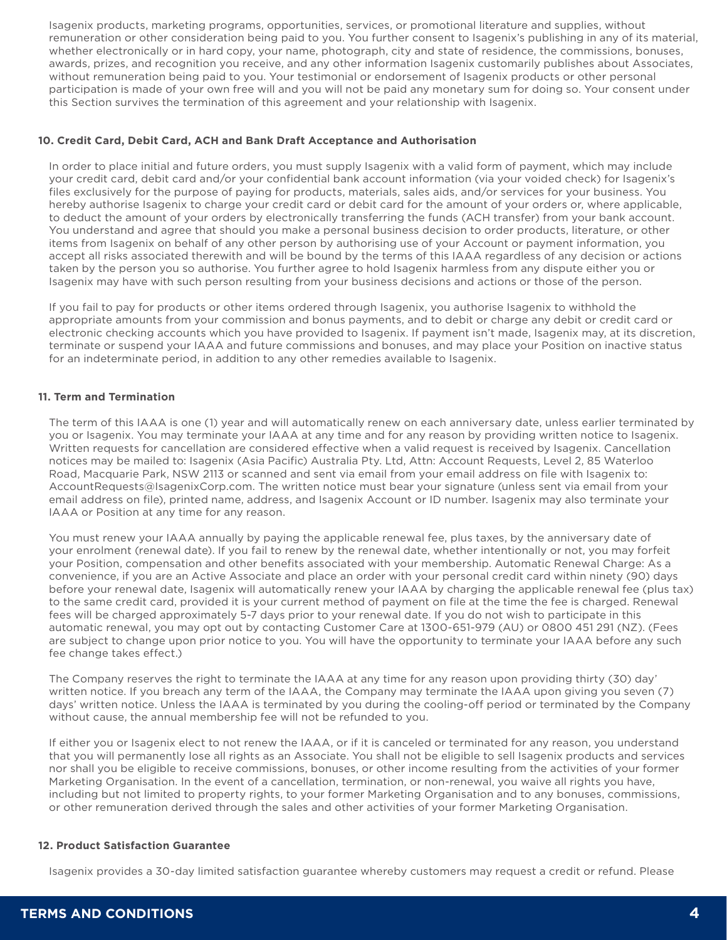Isagenix products, marketing programs, opportunities, services, or promotional literature and supplies, without remuneration or other consideration being paid to you. You further consent to Isagenix's publishing in any of its material, whether electronically or in hard copy, your name, photograph, city and state of residence, the commissions, bonuses, awards, prizes, and recognition you receive, and any other information Isagenix customarily publishes about Associates, without remuneration being paid to you. Your testimonial or endorsement of Isagenix products or other personal participation is made of your own free will and you will not be paid any monetary sum for doing so. Your consent under this Section survives the termination of this agreement and your relationship with Isagenix.

## **10. Credit Card, Debit Card, ACH and Bank Draft Acceptance and Authorisation**

In order to place initial and future orders, you must supply Isagenix with a valid form of payment, which may include your credit card, debit card and/or your confidential bank account information (via your voided check) for Isagenix's files exclusively for the purpose of paying for products, materials, sales aids, and/or services for your business. You hereby authorise Isagenix to charge your credit card or debit card for the amount of your orders or, where applicable, to deduct the amount of your orders by electronically transferring the funds (ACH transfer) from your bank account. You understand and agree that should you make a personal business decision to order products, literature, or other items from Isagenix on behalf of any other person by authorising use of your Account or payment information, you accept all risks associated therewith and will be bound by the terms of this IAAA regardless of any decision or actions taken by the person you so authorise. You further agree to hold Isagenix harmless from any dispute either you or Isagenix may have with such person resulting from your business decisions and actions or those of the person.

If you fail to pay for products or other items ordered through Isagenix, you authorise Isagenix to withhold the appropriate amounts from your commission and bonus payments, and to debit or charge any debit or credit card or electronic checking accounts which you have provided to Isagenix. If payment isn't made, Isagenix may, at its discretion, terminate or suspend your IAAA and future commissions and bonuses, and may place your Position on inactive status for an indeterminate period, in addition to any other remedies available to Isagenix.

## **11. Term and Termination**

The term of this IAAA is one (1) year and will automatically renew on each anniversary date, unless earlier terminated by you or Isagenix. You may terminate your IAAA at any time and for any reason by providing written notice to Isagenix. Written requests for cancellation are considered effective when a valid request is received by Isagenix. Cancellation notices may be mailed to: Isagenix (Asia Pacific) Australia Pty. Ltd, Attn: Account Requests, Level 2, 85 Waterloo Road, Macquarie Park, NSW 2113 or scanned and sent via email from your email address on file with Isagenix to: AccountRequests@IsagenixCorp.com. The written notice must bear your signature (unless sent via email from your email address on file), printed name, address, and Isagenix Account or ID number. Isagenix may also terminate your IAAA or Position at any time for any reason.

You must renew your IAAA annually by paying the applicable renewal fee, plus taxes, by the anniversary date of your enrolment (renewal date). If you fail to renew by the renewal date, whether intentionally or not, you may forfeit your Position, compensation and other benefits associated with your membership. Automatic Renewal Charge: As a convenience, if you are an Active Associate and place an order with your personal credit card within ninety (90) days before your renewal date, Isagenix will automatically renew your IAAA by charging the applicable renewal fee (plus tax) to the same credit card, provided it is your current method of payment on file at the time the fee is charged. Renewal fees will be charged approximately 5-7 days prior to your renewal date. If you do not wish to participate in this automatic renewal, you may opt out by contacting Customer Care at 1300-651-979 (AU) or 0800 451 291 (NZ). (Fees are subject to change upon prior notice to you. You will have the opportunity to terminate your IAAA before any such fee change takes effect.)

The Company reserves the right to terminate the IAAA at any time for any reason upon providing thirty (30) day' written notice. If you breach any term of the IAAA, the Company may terminate the IAAA upon giving you seven (7) days' written notice. Unless the IAAA is terminated by you during the cooling-off period or terminated by the Company without cause, the annual membership fee will not be refunded to you.

If either you or Isagenix elect to not renew the IAAA, or if it is canceled or terminated for any reason, you understand that you will permanently lose all rights as an Associate. You shall not be eligible to sell Isagenix products and services nor shall you be eligible to receive commissions, bonuses, or other income resulting from the activities of your former Marketing Organisation. In the event of a cancellation, termination, or non-renewal, you waive all rights you have, including but not limited to property rights, to your former Marketing Organisation and to any bonuses, commissions, or other remuneration derived through the sales and other activities of your former Marketing Organisation.

## **12. Product Satisfaction Guarantee**

Isagenix provides a 30-day limited satisfaction guarantee whereby customers may request a credit or refund. Please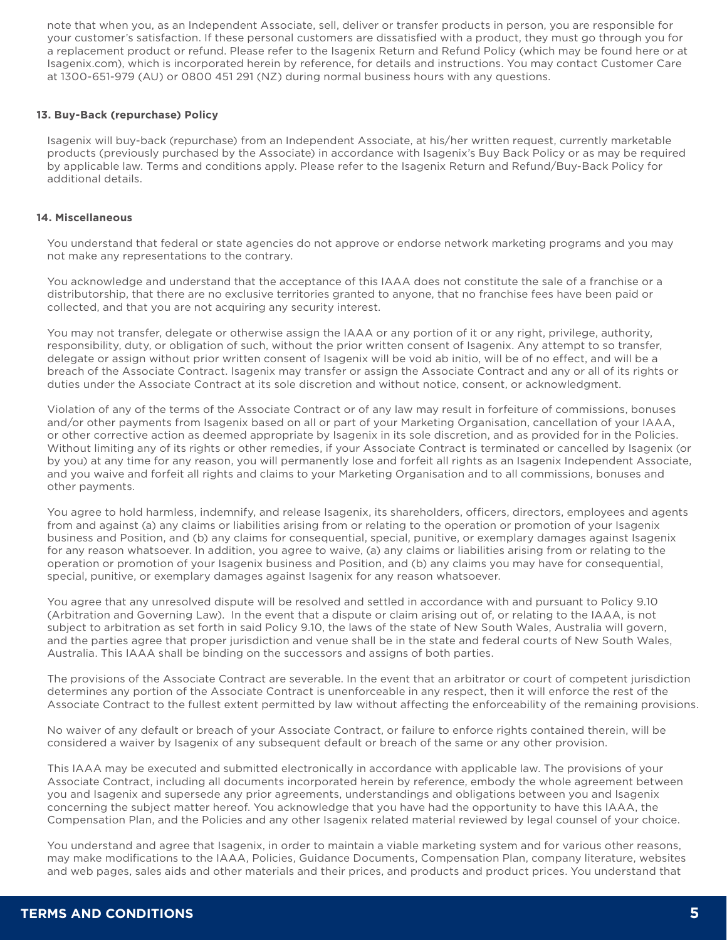note that when you, as an Independent Associate, sell, deliver or transfer products in person, you are responsible for your customer's satisfaction. If these personal customers are dissatisfied with a product, they must go through you for a replacement product or refund. Please refer to the Isagenix Return and Refund Policy (which may be found here or at Isagenix.com), which is incorporated herein by reference, for details and instructions. You may contact Customer Care at 1300-651-979 (AU) or 0800 451 291 (NZ) during normal business hours with any questions.

## **13. Buy-Back (repurchase) Policy**

Isagenix will buy-back (repurchase) from an Independent Associate, at his/her written request, currently marketable products (previously purchased by the Associate) in accordance with Isagenix's Buy Back Policy or as may be required by applicable law. Terms and conditions apply. Please refer to the Isagenix Return and Refund/Buy-Back Policy for additional details.

## **14. Miscellaneous**

You understand that federal or state agencies do not approve or endorse network marketing programs and you may not make any representations to the contrary.

You acknowledge and understand that the acceptance of this IAAA does not constitute the sale of a franchise or a distributorship, that there are no exclusive territories granted to anyone, that no franchise fees have been paid or collected, and that you are not acquiring any security interest.

You may not transfer, delegate or otherwise assign the IAAA or any portion of it or any right, privilege, authority, responsibility, duty, or obligation of such, without the prior written consent of Isagenix. Any attempt to so transfer, delegate or assign without prior written consent of Isagenix will be void ab initio, will be of no effect, and will be a breach of the Associate Contract. Isagenix may transfer or assign the Associate Contract and any or all of its rights or duties under the Associate Contract at its sole discretion and without notice, consent, or acknowledgment.

Violation of any of the terms of the Associate Contract or of any law may result in forfeiture of commissions, bonuses and/or other payments from Isagenix based on all or part of your Marketing Organisation, cancellation of your IAAA, or other corrective action as deemed appropriate by Isagenix in its sole discretion, and as provided for in the Policies. Without limiting any of its rights or other remedies, if your Associate Contract is terminated or cancelled by Isagenix (or by you) at any time for any reason, you will permanently lose and forfeit all rights as an Isagenix Independent Associate, and you waive and forfeit all rights and claims to your Marketing Organisation and to all commissions, bonuses and other payments.

You agree to hold harmless, indemnify, and release Isagenix, its shareholders, officers, directors, employees and agents from and against (a) any claims or liabilities arising from or relating to the operation or promotion of your Isagenix business and Position, and (b) any claims for consequential, special, punitive, or exemplary damages against Isagenix for any reason whatsoever. In addition, you agree to waive, (a) any claims or liabilities arising from or relating to the operation or promotion of your Isagenix business and Position, and (b) any claims you may have for consequential, special, punitive, or exemplary damages against Isagenix for any reason whatsoever.

You agree that any unresolved dispute will be resolved and settled in accordance with and pursuant to Policy 9.10 (Arbitration and Governing Law). In the event that a dispute or claim arising out of, or relating to the IAAA, is not subject to arbitration as set forth in said Policy 9.10, the laws of the state of New South Wales, Australia will govern, and the parties agree that proper jurisdiction and venue shall be in the state and federal courts of New South Wales, Australia. This IAAA shall be binding on the successors and assigns of both parties.

The provisions of the Associate Contract are severable. In the event that an arbitrator or court of competent jurisdiction determines any portion of the Associate Contract is unenforceable in any respect, then it will enforce the rest of the Associate Contract to the fullest extent permitted by law without affecting the enforceability of the remaining provisions.

No waiver of any default or breach of your Associate Contract, or failure to enforce rights contained therein, will be considered a waiver by Isagenix of any subsequent default or breach of the same or any other provision.

This IAAA may be executed and submitted electronically in accordance with applicable law. The provisions of your Associate Contract, including all documents incorporated herein by reference, embody the whole agreement between you and Isagenix and supersede any prior agreements, understandings and obligations between you and Isagenix concerning the subject matter hereof. You acknowledge that you have had the opportunity to have this IAAA, the Compensation Plan, and the Policies and any other Isagenix related material reviewed by legal counsel of your choice.

You understand and agree that Isagenix, in order to maintain a viable marketing system and for various other reasons, may make modifications to the IAAA, Policies, Guidance Documents, Compensation Plan, company literature, websites and web pages, sales aids and other materials and their prices, and products and product prices. You understand that